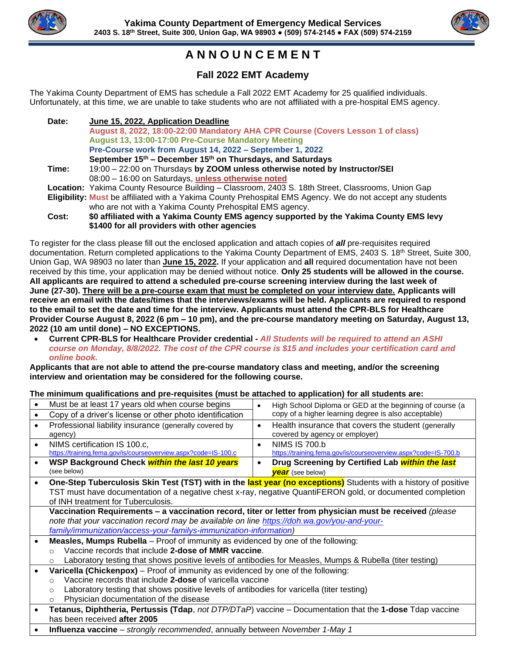



# **A N N O U N C E M E N T**

## **Fall 2022 EMT Academy**

The Yakima County Department of EMS has schedule a Fall 2022 EMT Academy for 25 qualified individuals. Unfortunately, at this time, we are unable to take students who are not affiliated with a pre-hospital EMS agency.

| Date: | June 15, 2022, Application Deadline                                                                        |
|-------|------------------------------------------------------------------------------------------------------------|
|       | August 8, 2022, 18:00-22:00 Mandatory AHA CPR Course (Covers Lesson 1 of class)                            |
|       | August 13, 13:00-17:00 Pre-Course Mandatory Meeting                                                        |
|       | Pre-Course work from August 14, 2022 - September 1, 2022                                                   |
|       | September 15th – December 15th on Thursdays, and Saturdays                                                 |
| Time: | 19:00 - 22:00 on Thursdays by ZOOM unless otherwise noted by Instructor/SEI                                |
|       | 08:00 - 16:00 on Saturdays, unless otherwise noted                                                         |
|       | Location: Yakima County Resource Building – Classroom, 2403 S. 18th Street, Classrooms, Union Gap          |
|       | Eligibility: Must be affiliated with a Yakima County Prehospital EMS Agency. We do not accept any students |
|       | who are not with a Yakima County Prehospital EMS agency.                                                   |
| Cost: | \$0 affiliated with a Yakima County EMS agency supported by the Yakima County EMS levy                     |
|       | \$1400 for all providers with other agencies                                                               |

To register for the class please fill out the enclosed application and attach copies of *all* pre-requisites required documentation. Return completed applications to the Yakima County Department of EMS, 2403 S. 18<sup>th</sup> Street, Suite 300, Union Gap, WA 98903 no later than **June 15, 2022.** If your application and **all** required documentation have not been received by this time, your application may be denied without notice. **Only 25 students will be allowed in the course. All applicants are required to attend a scheduled pre-course screening interview during the last week of June (27-30). There will be a pre-course exam that must be completed on your interview date. Applicants will receive an email with the dates/times that the interviews/exams will be held. Applicants are required to respond to the email to set the date and time for the interview. Applicants must attend the CPR-BLS for Healthcare Provider Course August 8, 2022 (6 pm – 10 pm), and the pre-course mandatory meeting on Saturday, August 13, 2022 (10 am until done) – NO EXCEPTIONS.** 

• **Current CPR-BLS for Healthcare Provider credential -** *All Students will be required to attend an ASHI course on Monday, 8/8/2022. The cost of the CPR course is \$15 and includes your certification card and online book.*

**Applicants that are not able to attend the pre-course mandatory class and meeting, and/or the screening interview and orientation may be considered for the following course.**

### **The minimum qualifications and pre-requisites (must be attached to application) for all students are:**

| The minimum qualifications and pre-requisites (must be attached to application) for all students are:                 |                                                                                                            |           |                                                                                                                 |  |  |  |
|-----------------------------------------------------------------------------------------------------------------------|------------------------------------------------------------------------------------------------------------|-----------|-----------------------------------------------------------------------------------------------------------------|--|--|--|
| $\bullet$                                                                                                             | Must be at least 17 years old when course begins                                                           | $\bullet$ | High School Diploma or GED at the beginning of course (a                                                        |  |  |  |
| $\bullet$                                                                                                             | Copy of a driver's license or other photo identification                                                   |           | copy of a higher learning degree is also acceptable)                                                            |  |  |  |
| $\bullet$                                                                                                             | Professional liability insurance (generally covered by                                                     | $\bullet$ | Health insurance that covers the student (generally                                                             |  |  |  |
| agency)                                                                                                               |                                                                                                            |           | covered by agency or employer)                                                                                  |  |  |  |
| $\bullet$                                                                                                             | NIMS certification IS 100.c,                                                                               | $\bullet$ | <b>NIMS IS 700.b</b>                                                                                            |  |  |  |
|                                                                                                                       | https://training.fema.gov/is/courseoverview.aspx?code=IS-100.c                                             |           | https://training.fema.gov/is/courseoverview.aspx?code=IS-700.b                                                  |  |  |  |
| $\bullet$                                                                                                             | WSP Background Check within the last 10 years                                                              | $\bullet$ | Drug Screening by Certified Lab within the last                                                                 |  |  |  |
| (see below)                                                                                                           |                                                                                                            |           | <b>year</b> (see below)                                                                                         |  |  |  |
| $\bullet$                                                                                                             |                                                                                                            |           | One-Step Tuberculosis Skin Test (TST) with in the last year (no exceptions) Students with a history of positive |  |  |  |
|                                                                                                                       | TST must have documentation of a negative chest x-ray, negative QuantiFERON gold, or documented completion |           |                                                                                                                 |  |  |  |
|                                                                                                                       | of INH treatment for Tuberculosis.                                                                         |           |                                                                                                                 |  |  |  |
|                                                                                                                       | Vaccination Requirements - a vaccination record, titer or letter from physician must be received (please   |           |                                                                                                                 |  |  |  |
|                                                                                                                       | note that your vaccination record may be available on line https://doh.wa.gov/you-and-your-                |           |                                                                                                                 |  |  |  |
|                                                                                                                       | family/immunization/access-your-familys-immunization-information)                                          |           |                                                                                                                 |  |  |  |
| $\bullet$                                                                                                             | <b>Measles, Mumps Rubella</b> – Proof of immunity as evidenced by one of the following:                    |           |                                                                                                                 |  |  |  |
| $\circ$                                                                                                               | Vaccine records that include 2-dose of MMR vaccine.                                                        |           |                                                                                                                 |  |  |  |
| $\circ$                                                                                                               | Laboratory testing that shows positive levels of antibodies for Measles, Mumps & Rubella (titer testing)   |           |                                                                                                                 |  |  |  |
| <b>Varicella (Chickenpox)</b> – Proof of immunity as evidenced by one of the following:<br>$\bullet$                  |                                                                                                            |           |                                                                                                                 |  |  |  |
| $\circ$                                                                                                               | Vaccine records that include 2-dose of varicella vaccine                                                   |           |                                                                                                                 |  |  |  |
| $\circ$                                                                                                               | Laboratory testing that shows positive levels of antibodies for varicella (titer testing)                  |           |                                                                                                                 |  |  |  |
| $\circ$                                                                                                               | Physician documentation of the disease                                                                     |           |                                                                                                                 |  |  |  |
| Tetanus, Diphtheria, Pertussis (Tdap, not DTP/DTaP) vaccine – Documentation that the 1-dose Tdap vaccine<br>$\bullet$ |                                                                                                            |           |                                                                                                                 |  |  |  |
| has been received after 2005                                                                                          |                                                                                                            |           |                                                                                                                 |  |  |  |

• **Influenza vaccine** – *strongly recommended*, annually between *November 1-May 1*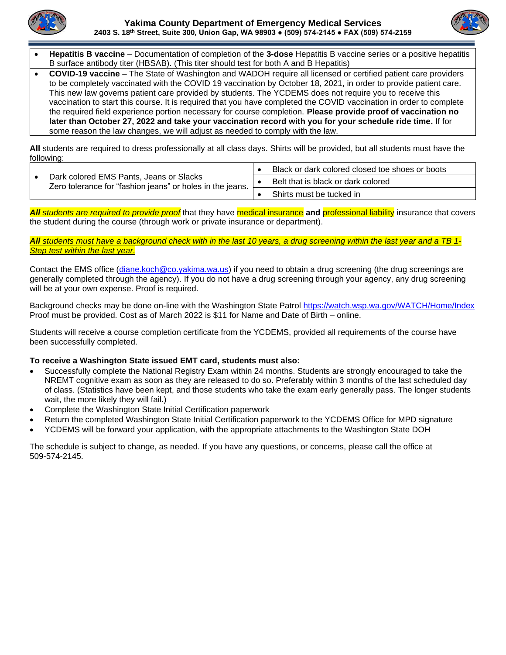



- **Hepatitis B vaccine** Documentation of completion of the **3-dose** Hepatitis B vaccine series or a positive hepatitis B surface antibody titer (HBSAB). (This titer should test for both A and B Hepatitis)
- **COVID-19 vaccine**  The State of Washington and WADOH require all licensed or certified patient care providers to be completely vaccinated with the COVID 19 vaccination by October 18, 2021, in order to provide patient care. This new law governs patient care provided by students. The YCDEMS does not require you to receive this vaccination to start this course. It is required that you have completed the COVID vaccination in order to complete the required field experience portion necessary for course completion. **Please provide proof of vaccination no later than October 27, 2022 and take your vaccination record with you for your schedule ride time.** If for some reason the law changes, we will adjust as needed to comply with the law.

**All** students are required to dress professionally at all class days. Shirts will be provided, but all students must have the following:

|  |                                                                                                      | Black or dark colored closed toe shoes or boots |
|--|------------------------------------------------------------------------------------------------------|-------------------------------------------------|
|  | Dark colored EMS Pants, Jeans or Slacks<br>Zero tolerance for "fashion jeans" or holes in the jeans. | Belt that is black or dark colored              |
|  |                                                                                                      | Shirts must be tucked in                        |

*All students are required to provide proof* that they have medical insurance **and** professional liability insurance that covers the student during the course (through work or private insurance or department).

#### *All students must have a background check with in the last 10 years, a drug screening within the last year and a TB 1- Step test within the last year.*

Contact the EMS office [\(diane.koch@co.yakima.wa.us\)](mailto:diane.koch@co.yakima.wa.us) if you need to obtain a drug screening (the drug screenings are generally completed through the agency). If you do not have a drug screening through your agency, any drug screening will be at your own expense. Proof is required.

Background checks may be done on-line with the Washington State Patrol <https://watch.wsp.wa.gov/WATCH/Home/Index> Proof must be provided. Cost as of March 2022 is \$11 for Name and Date of Birth – online.

Students will receive a course completion certificate from the YCDEMS, provided all requirements of the course have been successfully completed.

#### **To receive a Washington State issued EMT card, students must also:**

- Successfully complete the National Registry Exam within 24 months. Students are strongly encouraged to take the NREMT cognitive exam as soon as they are released to do so. Preferably within 3 months of the last scheduled day of class. (Statistics have been kept, and those students who take the exam early generally pass. The longer students wait, the more likely they will fail.)
- Complete the Washington State Initial Certification paperwork
- Return the completed Washington State Initial Certification paperwork to the YCDEMS Office for MPD signature
- YCDEMS will be forward your application, with the appropriate attachments to the Washington State DOH

The schedule is subject to change, as needed. If you have any questions, or concerns, please call the office at 509-574-2145.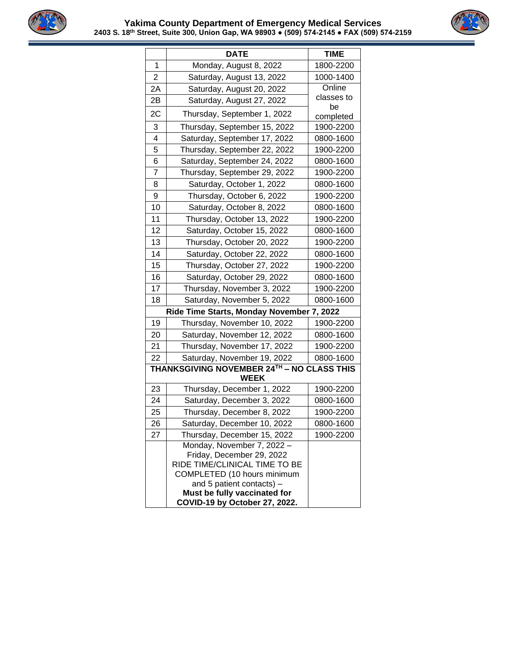



|                | <b>DATE</b>                                                                                                                                                                          | <b>TIME</b>     |
|----------------|--------------------------------------------------------------------------------------------------------------------------------------------------------------------------------------|-----------------|
| 1              | Monday, August 8, 2022                                                                                                                                                               | 1800-2200       |
| $\overline{2}$ | Saturday, August 13, 2022                                                                                                                                                            | 1000-1400       |
| 2A             | Saturday, August 20, 2022                                                                                                                                                            | Online          |
| 2Β             | Saturday, August 27, 2022                                                                                                                                                            | classes to      |
| 2C             | Thursday, September 1, 2022                                                                                                                                                          | be<br>completed |
| 3              | Thursday, September 15, 2022                                                                                                                                                         | 1900-2200       |
| 4              | Saturday, September 17, 2022                                                                                                                                                         | 0800-1600       |
| 5              | Thursday, September 22, 2022                                                                                                                                                         | 1900-2200       |
| 6              | Saturday, September 24, 2022                                                                                                                                                         | 0800-1600       |
| 7              | Thursday, September 29, 2022                                                                                                                                                         | 1900-2200       |
| 8              | Saturday, October 1, 2022                                                                                                                                                            | 0800-1600       |
| 9              | Thursday, October 6, 2022                                                                                                                                                            | 1900-2200       |
| 10             | Saturday, October 8, 2022                                                                                                                                                            | 0800-1600       |
| 11             | Thursday, October 13, 2022                                                                                                                                                           | 1900-2200       |
| 12             | Saturday, October 15, 2022                                                                                                                                                           | 0800-1600       |
| 13             | Thursday, October 20, 2022                                                                                                                                                           | 1900-2200       |
| 14             | Saturday, October 22, 2022                                                                                                                                                           | 0800-1600       |
| 15             | Thursday, October 27, 2022                                                                                                                                                           | 1900-2200       |
| 16             | Saturday, October 29, 2022                                                                                                                                                           | 0800-1600       |
| 17             | Thursday, November 3, 2022                                                                                                                                                           | 1900-2200       |
| 18             | Saturday, November 5, 2022                                                                                                                                                           | 0800-1600       |
|                | Ride Time Starts, Monday November 7, 2022                                                                                                                                            |                 |
| 19             | Thursday, November 10, 2022                                                                                                                                                          | 1900-2200       |
| 20             | Saturday, November 12, 2022                                                                                                                                                          | 0800-1600       |
| 21             | Thursday, November 17, 2022                                                                                                                                                          | 1900-2200       |
| 22             | Saturday, November 19, 2022                                                                                                                                                          | 0800-1600       |
|                | THANKSGIVING NOVEMBER 24TH - NO CLASS THIS<br>WEEK                                                                                                                                   |                 |
| 23             | Thursday, December 1, 2022                                                                                                                                                           | 1900-2200       |
| 24             | Saturday, December 3, 2022                                                                                                                                                           | 0800-1600       |
| 25             | Thursday, December 8, 2022                                                                                                                                                           | 1900-2200       |
| 26             | Saturday, December 10, 2022                                                                                                                                                          | 0800-1600       |
| 27             | Thursday, December 15, 2022                                                                                                                                                          | 1900-2200       |
|                | Monday, November 7, 2022 -<br>Friday, December 29, 2022<br>RIDE TIME/CLINICAL TIME TO BE<br>COMPLETED (10 hours minimum<br>and 5 patient contacts) -<br>Must be fully vaccinated for |                 |
|                | COVID-19 by October 27, 2022.                                                                                                                                                        |                 |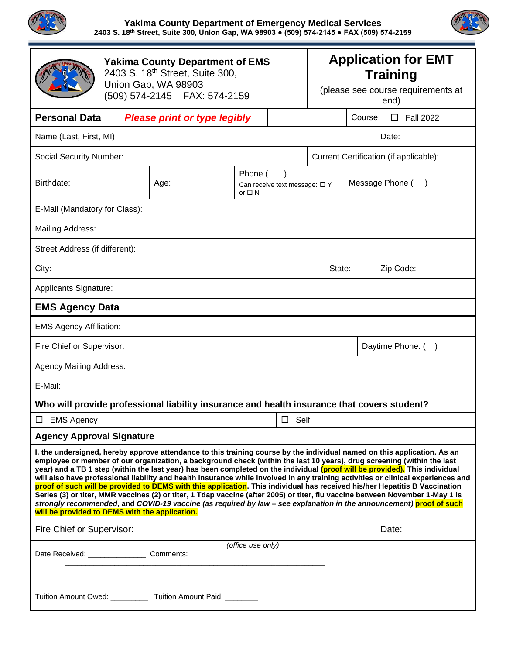

#### **Yakima County Department of Emergency Medical Services 2403 S. 18th Street, Suite 300, Union Gap, WA 98903 ● (509) 574-2145 ● FAX (509) 574-2159**

|                                                                                                                                                                                                                                                                                                                                                                                                                                                                                                                                                                                                                                                                                                                                                                                                                                                                                                                                                               | <b>Yakima County Department of EMS</b><br>2403 S. 18th Street, Suite 300,<br>Union Gap, WA 98903<br>(509) 574-2145    FAX: 574-2159 |                                                                                             |                                                              |             | <b>Application for EMT</b><br><b>Training</b><br>(please see course requirements at<br>end) |       |                 |                   |  |  |
|---------------------------------------------------------------------------------------------------------------------------------------------------------------------------------------------------------------------------------------------------------------------------------------------------------------------------------------------------------------------------------------------------------------------------------------------------------------------------------------------------------------------------------------------------------------------------------------------------------------------------------------------------------------------------------------------------------------------------------------------------------------------------------------------------------------------------------------------------------------------------------------------------------------------------------------------------------------|-------------------------------------------------------------------------------------------------------------------------------------|---------------------------------------------------------------------------------------------|--------------------------------------------------------------|-------------|---------------------------------------------------------------------------------------------|-------|-----------------|-------------------|--|--|
| <b>Personal Data</b>                                                                                                                                                                                                                                                                                                                                                                                                                                                                                                                                                                                                                                                                                                                                                                                                                                                                                                                                          | <b>Please print or type legibly</b>                                                                                                 |                                                                                             |                                                              |             | Course:                                                                                     |       |                 | $\Box$ Fall 2022  |  |  |
| Name (Last, First, MI)                                                                                                                                                                                                                                                                                                                                                                                                                                                                                                                                                                                                                                                                                                                                                                                                                                                                                                                                        |                                                                                                                                     |                                                                                             |                                                              |             |                                                                                             | Date: |                 |                   |  |  |
| <b>Social Security Number:</b>                                                                                                                                                                                                                                                                                                                                                                                                                                                                                                                                                                                                                                                                                                                                                                                                                                                                                                                                |                                                                                                                                     |                                                                                             |                                                              |             | Current Certification (if applicable):                                                      |       |                 |                   |  |  |
| Birthdate:                                                                                                                                                                                                                                                                                                                                                                                                                                                                                                                                                                                                                                                                                                                                                                                                                                                                                                                                                    |                                                                                                                                     | Age:                                                                                        | Phone (<br>Can receive text message: $\Box$ Y<br>or $\Box$ N |             |                                                                                             |       | Message Phone ( |                   |  |  |
| E-Mail (Mandatory for Class):                                                                                                                                                                                                                                                                                                                                                                                                                                                                                                                                                                                                                                                                                                                                                                                                                                                                                                                                 |                                                                                                                                     |                                                                                             |                                                              |             |                                                                                             |       |                 |                   |  |  |
| Mailing Address:                                                                                                                                                                                                                                                                                                                                                                                                                                                                                                                                                                                                                                                                                                                                                                                                                                                                                                                                              |                                                                                                                                     |                                                                                             |                                                              |             |                                                                                             |       |                 |                   |  |  |
| Street Address (if different):                                                                                                                                                                                                                                                                                                                                                                                                                                                                                                                                                                                                                                                                                                                                                                                                                                                                                                                                |                                                                                                                                     |                                                                                             |                                                              |             |                                                                                             |       |                 |                   |  |  |
| City:<br>State:                                                                                                                                                                                                                                                                                                                                                                                                                                                                                                                                                                                                                                                                                                                                                                                                                                                                                                                                               |                                                                                                                                     |                                                                                             |                                                              |             |                                                                                             |       | Zip Code:       |                   |  |  |
| Applicants Signature:                                                                                                                                                                                                                                                                                                                                                                                                                                                                                                                                                                                                                                                                                                                                                                                                                                                                                                                                         |                                                                                                                                     |                                                                                             |                                                              |             |                                                                                             |       |                 |                   |  |  |
| <b>EMS Agency Data</b>                                                                                                                                                                                                                                                                                                                                                                                                                                                                                                                                                                                                                                                                                                                                                                                                                                                                                                                                        |                                                                                                                                     |                                                                                             |                                                              |             |                                                                                             |       |                 |                   |  |  |
| <b>EMS Agency Affiliation:</b>                                                                                                                                                                                                                                                                                                                                                                                                                                                                                                                                                                                                                                                                                                                                                                                                                                                                                                                                |                                                                                                                                     |                                                                                             |                                                              |             |                                                                                             |       |                 |                   |  |  |
| Fire Chief or Supervisor:                                                                                                                                                                                                                                                                                                                                                                                                                                                                                                                                                                                                                                                                                                                                                                                                                                                                                                                                     |                                                                                                                                     |                                                                                             |                                                              |             |                                                                                             |       |                 | Daytime Phone: () |  |  |
| <b>Agency Mailing Address:</b>                                                                                                                                                                                                                                                                                                                                                                                                                                                                                                                                                                                                                                                                                                                                                                                                                                                                                                                                |                                                                                                                                     |                                                                                             |                                                              |             |                                                                                             |       |                 |                   |  |  |
| E-Mail:                                                                                                                                                                                                                                                                                                                                                                                                                                                                                                                                                                                                                                                                                                                                                                                                                                                                                                                                                       |                                                                                                                                     |                                                                                             |                                                              |             |                                                                                             |       |                 |                   |  |  |
|                                                                                                                                                                                                                                                                                                                                                                                                                                                                                                                                                                                                                                                                                                                                                                                                                                                                                                                                                               |                                                                                                                                     | Who will provide professional liability insurance and health insurance that covers student? |                                                              |             |                                                                                             |       |                 |                   |  |  |
| $\Box$ EMS Agency                                                                                                                                                                                                                                                                                                                                                                                                                                                                                                                                                                                                                                                                                                                                                                                                                                                                                                                                             |                                                                                                                                     |                                                                                             |                                                              | $\Box$ Self |                                                                                             |       |                 |                   |  |  |
| <b>Agency Approval Signature</b>                                                                                                                                                                                                                                                                                                                                                                                                                                                                                                                                                                                                                                                                                                                                                                                                                                                                                                                              |                                                                                                                                     |                                                                                             |                                                              |             |                                                                                             |       |                 |                   |  |  |
| I, the undersigned, hereby approve attendance to this training course by the individual named on this application. As an<br>employee or member of our organization, a background check (within the last 10 years), drug screening (within the last<br>year) and a TB 1 step (within the last year) has been completed on the individual (proof will be provided). This individual<br>will also have professional liability and health insurance while involved in any training activities or clinical experiences and<br>proof of such will be provided to DEMS with this application. This individual has received his/her Hepatitis B Vaccination<br>Series (3) or titer, MMR vaccines (2) or titer, 1 Tdap vaccine (after 2005) or titer, flu vaccine between November 1-May 1 is<br>strongly recommended, and COVID-19 vaccine (as required by law - see explanation in the announcement) proof of such<br>will be provided to DEMS with the application. |                                                                                                                                     |                                                                                             |                                                              |             |                                                                                             |       |                 |                   |  |  |
| Fire Chief or Supervisor:                                                                                                                                                                                                                                                                                                                                                                                                                                                                                                                                                                                                                                                                                                                                                                                                                                                                                                                                     |                                                                                                                                     |                                                                                             |                                                              |             |                                                                                             | Date: |                 |                   |  |  |
| (office use only)<br>Date Received: __________________ Comments:                                                                                                                                                                                                                                                                                                                                                                                                                                                                                                                                                                                                                                                                                                                                                                                                                                                                                              |                                                                                                                                     |                                                                                             |                                                              |             |                                                                                             |       |                 |                   |  |  |
| Tuition Amount Owed: ___________ Tuition Amount Paid: ________                                                                                                                                                                                                                                                                                                                                                                                                                                                                                                                                                                                                                                                                                                                                                                                                                                                                                                |                                                                                                                                     |                                                                                             |                                                              |             |                                                                                             |       |                 |                   |  |  |